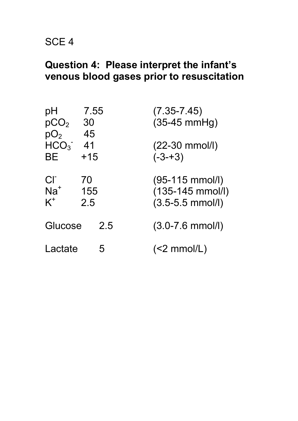# **Question 4: Please interpret the infant's venous blood gases prior to resuscitation**

| рH<br>pCO <sub>2</sub><br>pO <sub>2</sub> | 7.55<br>30<br>45 | $(7.35 - 7.45)$<br>$(35-45$ mmHg)                                               |
|-------------------------------------------|------------------|---------------------------------------------------------------------------------|
| HCO <sub>3</sub><br>BЕ                    | -41<br>$+15$     | $(22-30 \text{ mmol/l})$<br>$(-3-13)$                                           |
| $Cl^-$<br>$Na+$<br>$K^+$                  | 70<br>155<br>2.5 | $(95-115 \text{ mmol/l})$<br>$(135-145 \text{ mmol/l})$<br>$(3.5 - 5.5$ mmol/l) |
| Glucose                                   | 2.5              | $(3.0 - 7.6$ mmol/l)                                                            |
| Lactate                                   | 5                | $(<2$ mmol/L)                                                                   |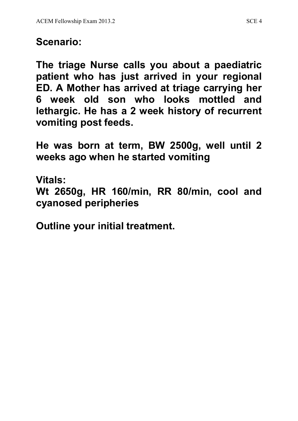# **Scenario:**

**The triage Nurse calls you about a paediatric patient who has just arrived in your regional ED. A Mother has arrived at triage carrying her 6 week old son who looks mottled and lethargic. He has a 2 week history of recurrent vomiting post feeds.** 

**He was born at term, BW 2500g, well until 2 weeks ago when he started vomiting**

**Vitals:**

**Wt 2650g, HR 160/min, RR 80/min, cool and cyanosed peripheries**

**Outline your initial treatment.**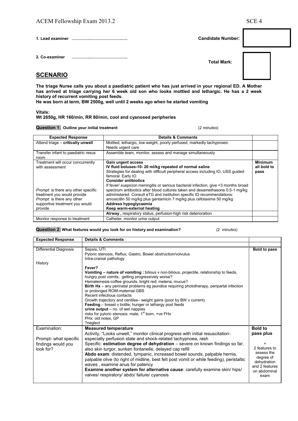**2. Co-examiner ««««..«««««««««.** 

 **Total Mark:** 

## **SCENARIO**

**The triage Nurse calls you about a paediatric patient who has just arrived in your regional ED. A Mother has arrived at triage carrying her 6 week old son who looks mottled and lethargic. He has a 2 week history of recurrent vomiting post feeds.** 

**He was born at term, BW 2500g, well until 2 weeks ago when he started vomiting**

#### **Vitals:**

### **Wt 2650g, HR 160/min, RR 80/min, cool and cyanosed peripheries**

**Question 1: Outline your initial treatment** (2 *minutes*)

| <b>Expected Response</b>                                                                                                                                                                                     | <b>Details &amp; Comments</b>                                                                                                                                                                                                                                                                                                                                                                                                                                                                                                                                                                                                                                           |                                       |
|--------------------------------------------------------------------------------------------------------------------------------------------------------------------------------------------------------------|-------------------------------------------------------------------------------------------------------------------------------------------------------------------------------------------------------------------------------------------------------------------------------------------------------------------------------------------------------------------------------------------------------------------------------------------------------------------------------------------------------------------------------------------------------------------------------------------------------------------------------------------------------------------------|---------------------------------------|
| Attend triage - critically unwell                                                                                                                                                                            | Mottled, lethargic, low weight, poorly perfused, markedly tachypnoeic<br>Needs urgent care                                                                                                                                                                                                                                                                                                                                                                                                                                                                                                                                                                              |                                       |
| Transfer infant to paediatric resus<br>room                                                                                                                                                                  | Assemble team, monitor, assess and manage simultaneously                                                                                                                                                                                                                                                                                                                                                                                                                                                                                                                                                                                                                |                                       |
| Treatment will occur concurrently<br>with assessment<br>Prompt: is there any other specific<br>treatment you would provide<br><i>Prompt:</i> is there any other<br>supportive treatment you would<br>provide | Gain urgent access<br>IV fluid boluses-10-20 ml/kg repeated of normal saline<br>Strategies for dealing with difficult peripheral access including IO, USS quided<br>femoral. Early IO<br><b>Consider antibiotics</b><br>If fever/ suspicion meningitis or serious bacterial infection, give <3 months broad<br>spectrum antibiotics after blood cultures taken and dexamethasone 0.5-1 mg/kg<br>administered. Consult eTG and institution specific ID recommendations:<br>amoxicillin 50 mg/kg plus gentamicin 7 mg/kg plus cefotaxime 50 mg/kg<br>Address hypoglycaemia<br>Keep warm-external heating<br>Airway, respiratory status, perfusion-high risk deterioration | <b>Minimum</b><br>all bold to<br>pass |
| Monitor response to treatment                                                                                                                                                                                | Catheter, monitor urine output                                                                                                                                                                                                                                                                                                                                                                                                                                                                                                                                                                                                                                          |                                       |

#### **Question 2: What features would you look for on history and examination?** (2 *minutes*)

| <b>Expected Response</b>                                 | <b>Details &amp; Comments</b>                                                                                                                                                                                                                                                                                                                                                                                                                                                                                                                                                                                                                                               |                                                                                                                |
|----------------------------------------------------------|-----------------------------------------------------------------------------------------------------------------------------------------------------------------------------------------------------------------------------------------------------------------------------------------------------------------------------------------------------------------------------------------------------------------------------------------------------------------------------------------------------------------------------------------------------------------------------------------------------------------------------------------------------------------------------|----------------------------------------------------------------------------------------------------------------|
|                                                          |                                                                                                                                                                                                                                                                                                                                                                                                                                                                                                                                                                                                                                                                             |                                                                                                                |
| <b>Differential Diagnosis</b>                            | Sepsis, UTI<br>Pyloric stenosis, Reflux, Gastro, Bowel obstruction/volvulus<br>Intra-cranial pathology                                                                                                                                                                                                                                                                                                                                                                                                                                                                                                                                                                      | Bold to pass                                                                                                   |
| History                                                  |                                                                                                                                                                                                                                                                                                                                                                                                                                                                                                                                                                                                                                                                             |                                                                                                                |
|                                                          | Fever?<br>Vomiting - nature of vomiting : bilious v non-bilious, projectile, relationship to feeds,<br>hungry post vomits; getting progressively worse?<br>Hematemesis-coffee grounds, bright red; melena, mucus?<br><b>Birth Hx</b> – any perinatal problems eg jaundice requiring phototherapy, peripartal infection<br>or prolonged ROM-maternal GBS<br>Recent infectious contacts<br>Growth trajectory and centiles- weight gains (poor by BW v current)<br><b>Feeding</b> – breast v bottle; hunger or lethargy post feeds<br>$urine output - no.$ of wet nappies<br>risks for pyloric stenosis: male, 1 <sup>st</sup> born, +ve FHx<br>PHx: old notes, GP<br>?neglect |                                                                                                                |
| Examination:                                             | <b>Measured temperature</b>                                                                                                                                                                                                                                                                                                                                                                                                                                                                                                                                                                                                                                                 | <b>Bold to</b>                                                                                                 |
| Prompt- what specific<br>findings would you<br>look for? | Activity, "Looks unwell," monitor clinical progress with initial resuscitation-<br>especially perfusion state and shock-related tachypnoea, rash<br>Specific: estimation degree of dehydration - severe on known findings so far,<br>also skin turgor, sunken fontanelle, delayed cap refill<br>Abdo exam: distended, tympanic, increased bowel sounds, palpable hernia,<br>palpable olive (to right of midline, best felt post vomit or while feeding), peristaltic<br>waves, examine anus for patency<br><b>Examine another system for alternative cause: carefully examine skin/ hips/</b><br>valves/respiratory/abdo/failure/cyanosis                                   | pass plus<br>2 features to<br>assess the<br>degree of<br>dehydration<br>and 2 features<br>on abdominal<br>exam |